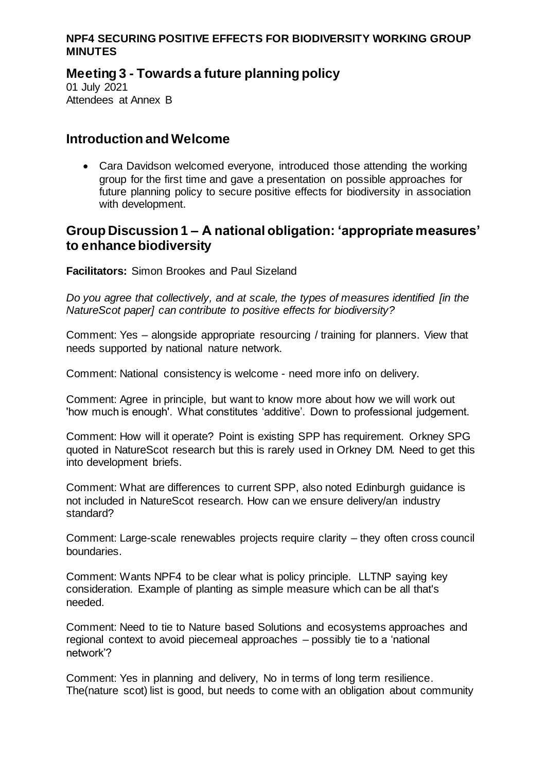# **Meeting 3 - Towards a future planning policy**

01 July 2021 Attendees at Annex B

## **Introduction and Welcome**

 Cara Davidson welcomed everyone, introduced those attending the working group for the first time and gave a presentation on possible approaches for future planning policy to secure positive effects for biodiversity in association with development.

## **Group Discussion 1 – A national obligation: 'appropriate measures' to enhance biodiversity**

**Facilitators:** Simon Brookes and Paul Sizeland

*Do you agree that collectively, and at scale, the types of measures identified [in the NatureScot paper] can contribute to positive effects for biodiversity?*

Comment: Yes – alongside appropriate resourcing / training for planners. View that needs supported by national nature network.

Comment: National consistency is welcome - need more info on delivery.

Comment: Agree in principle, but want to know more about how we will work out 'how much is enough'. What constitutes 'additive'. Down to professional judgement.

Comment: How will it operate? Point is existing SPP has requirement. Orkney SPG quoted in NatureScot research but this is rarely used in Orkney DM. Need to get this into development briefs.

Comment: What are differences to current SPP, also noted Edinburgh guidance is not included in NatureScot research. How can we ensure delivery/an industry standard?

Comment: Large-scale renewables projects require clarity – they often cross council boundaries.

Comment: Wants NPF4 to be clear what is policy principle. LLTNP saying key consideration. Example of planting as simple measure which can be all that's needed.

Comment: Need to tie to Nature based Solutions and ecosystems approaches and regional context to avoid piecemeal approaches – possibly tie to a 'national network'?

Comment: Yes in planning and delivery, No in terms of long term resilience. The(nature scot) list is good, but needs to come with an obligation about community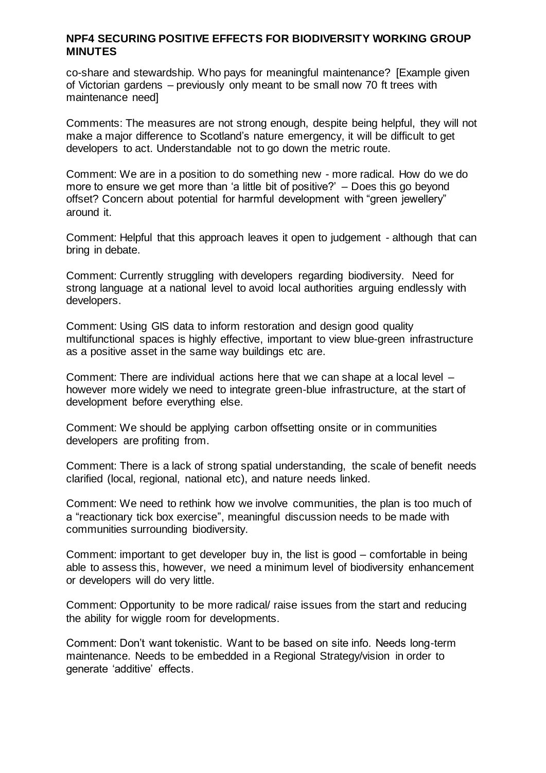co-share and stewardship. Who pays for meaningful maintenance? [Example given of Victorian gardens – previously only meant to be small now 70 ft trees with maintenance need]

Comments: The measures are not strong enough, despite being helpful, they will not make a major difference to Scotland's nature emergency, it will be difficult to get developers to act. Understandable not to go down the metric route.

Comment: We are in a position to do something new - more radical. How do we do more to ensure we get more than 'a little bit of positive?' – Does this go beyond offset? Concern about potential for harmful development with "green jewellery" around it.

Comment: Helpful that this approach leaves it open to judgement - although that can bring in debate.

Comment: Currently struggling with developers regarding biodiversity. Need for strong language at a national level to avoid local authorities arguing endlessly with developers.

Comment: Using GIS data to inform restoration and design good quality multifunctional spaces is highly effective, important to view blue-green infrastructure as a positive asset in the same way buildings etc are.

Comment: There are individual actions here that we can shape at a local level – however more widely we need to integrate green-blue infrastructure, at the start of development before everything else.

Comment: We should be applying carbon offsetting onsite or in communities developers are profiting from.

Comment: There is a lack of strong spatial understanding, the scale of benefit needs clarified (local, regional, national etc), and nature needs linked.

Comment: We need to rethink how we involve communities, the plan is too much of a "reactionary tick box exercise", meaningful discussion needs to be made with communities surrounding biodiversity.

Comment: important to get developer buy in, the list is good – comfortable in being able to assess this, however, we need a minimum level of biodiversity enhancement or developers will do very little.

Comment: Opportunity to be more radical/ raise issues from the start and reducing the ability for wiggle room for developments.

Comment: Don't want tokenistic. Want to be based on site info. Needs long-term maintenance. Needs to be embedded in a Regional Strategy/vision in order to generate 'additive' effects.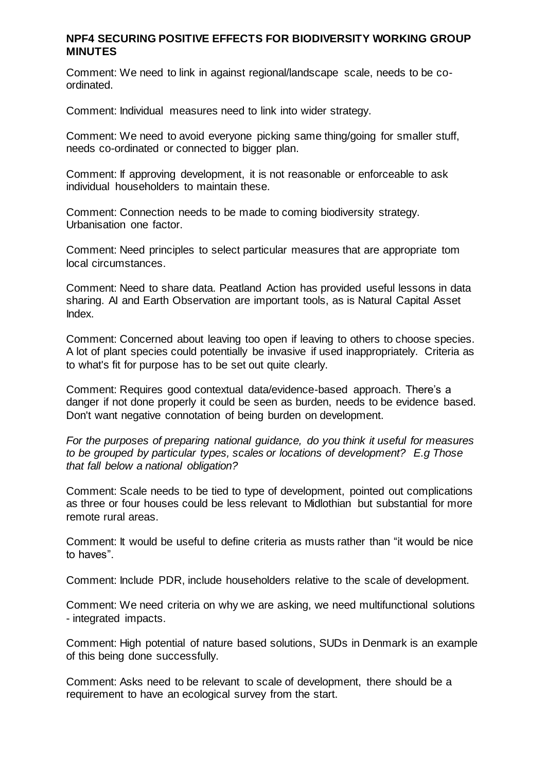Comment: We need to link in against regional/landscape scale, needs to be coordinated.

Comment: Individual measures need to link into wider strategy.

Comment: We need to avoid everyone picking same thing/going for smaller stuff, needs co-ordinated or connected to bigger plan.

Comment: If approving development, it is not reasonable or enforceable to ask individual householders to maintain these.

Comment: Connection needs to be made to coming biodiversity strategy. Urbanisation one factor.

Comment: Need principles to select particular measures that are appropriate tom local circumstances.

Comment: Need to share data. Peatland Action has provided useful lessons in data sharing. AI and Earth Observation are important tools, as is Natural Capital Asset Index.

Comment: Concerned about leaving too open if leaving to others to choose species. A lot of plant species could potentially be invasive if used inappropriately. Criteria as to what's fit for purpose has to be set out quite clearly.

Comment: Requires good contextual data/evidence-based approach. There's a danger if not done properly it could be seen as burden, needs to be evidence based. Don't want negative connotation of being burden on development.

*For the purposes of preparing national guidance, do you think it useful for measures to be grouped by particular types, scales or locations of development? E.g Those that fall below a national obligation?* 

Comment: Scale needs to be tied to type of development, pointed out complications as three or four houses could be less relevant to Midlothian but substantial for more remote rural areas.

Comment: It would be useful to define criteria as musts rather than "it would be nice to haves".

Comment: Include PDR, include householders relative to the scale of development.

Comment: We need criteria on why we are asking, we need multifunctional solutions - integrated impacts.

Comment: High potential of nature based solutions, SUDs in Denmark is an example of this being done successfully.

Comment: Asks need to be relevant to scale of development, there should be a requirement to have an ecological survey from the start.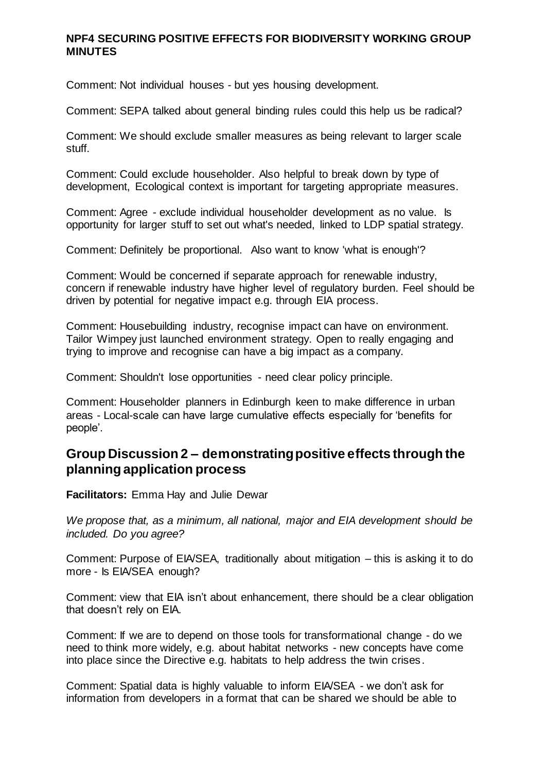Comment: Not individual houses - but yes housing development.

Comment: SEPA talked about general binding rules could this help us be radical?

Comment: We should exclude smaller measures as being relevant to larger scale stuff.

Comment: Could exclude householder. Also helpful to break down by type of development, Ecological context is important for targeting appropriate measures.

Comment: Agree - exclude individual householder development as no value. Is opportunity for larger stuff to set out what's needed, linked to LDP spatial strategy.

Comment: Definitely be proportional. Also want to know 'what is enough'?

Comment: Would be concerned if separate approach for renewable industry, concern if renewable industry have higher level of regulatory burden. Feel should be driven by potential for negative impact e.g. through EIA process.

Comment: Housebuilding industry, recognise impact can have on environment. Tailor Wimpey just launched environment strategy. Open to really engaging and trying to improve and recognise can have a big impact as a company.

Comment: Shouldn't lose opportunities - need clear policy principle.

Comment: Householder planners in Edinburgh keen to make difference in urban areas - Local-scale can have large cumulative effects especially for 'benefits for people'.

## **Group Discussion 2 – demonstrating positive effects through the planning application process**

**Facilitators:** Emma Hay and Julie Dewar

*We propose that, as a minimum, all national, major and EIA development should be included. Do you agree?*

Comment: Purpose of EIA/SEA, traditionally about mitigation – this is asking it to do more - Is EIA/SEA enough?

Comment: view that EIA isn't about enhancement, there should be a clear obligation that doesn't rely on EIA.

Comment: If we are to depend on those tools for transformational change - do we need to think more widely, e.g. about habitat networks - new concepts have come into place since the Directive e.g. habitats to help address the twin crises.

Comment: Spatial data is highly valuable to inform EIA/SEA - we don't ask for information from developers in a format that can be shared we should be able to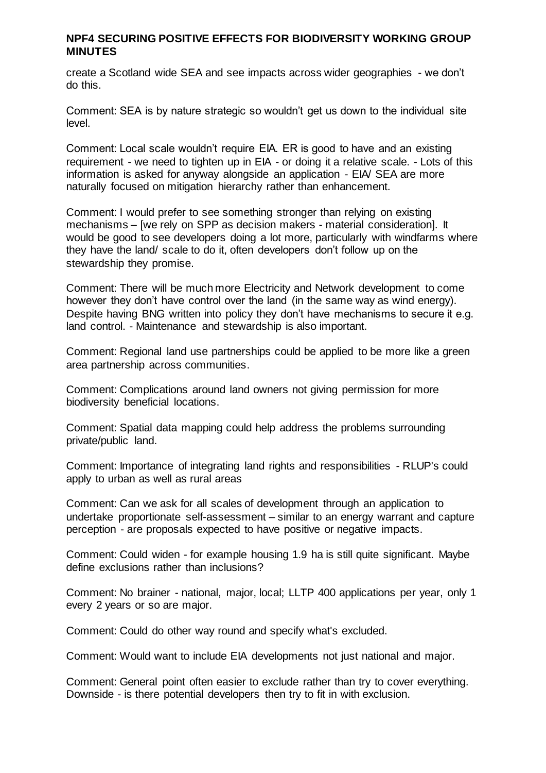create a Scotland wide SEA and see impacts across wider geographies - we don't do this.

Comment: SEA is by nature strategic so wouldn't get us down to the individual site level.

Comment: Local scale wouldn't require EIA. ER is good to have and an existing requirement - we need to tighten up in EIA - or doing it a relative scale. - Lots of this information is asked for anyway alongside an application - EIA/ SEA are more naturally focused on mitigation hierarchy rather than enhancement.

Comment: I would prefer to see something stronger than relying on existing mechanisms – [we rely on SPP as decision makers - material consideration]. It would be good to see developers doing a lot more, particularly with windfarms where they have the land/ scale to do it, often developers don't follow up on the stewardship they promise.

Comment: There will be much more Electricity and Network development to come however they don't have control over the land (in the same way as wind energy). Despite having BNG written into policy they don't have mechanisms to secure it e.g. land control. - Maintenance and stewardship is also important.

Comment: Regional land use partnerships could be applied to be more like a green area partnership across communities.

Comment: Complications around land owners not giving permission for more biodiversity beneficial locations.

Comment: Spatial data mapping could help address the problems surrounding private/public land.

Comment: Importance of integrating land rights and responsibilities - RLUP's could apply to urban as well as rural areas

Comment: Can we ask for all scales of development through an application to undertake proportionate self-assessment – similar to an energy warrant and capture perception - are proposals expected to have positive or negative impacts.

Comment: Could widen - for example housing 1.9 ha is still quite significant. Maybe define exclusions rather than inclusions?

Comment: No brainer - national, major, local; LLTP 400 applications per year, only 1 every 2 years or so are major.

Comment: Could do other way round and specify what's excluded.

Comment: Would want to include EIA developments not just national and major.

Comment: General point often easier to exclude rather than try to cover everything. Downside - is there potential developers then try to fit in with exclusion.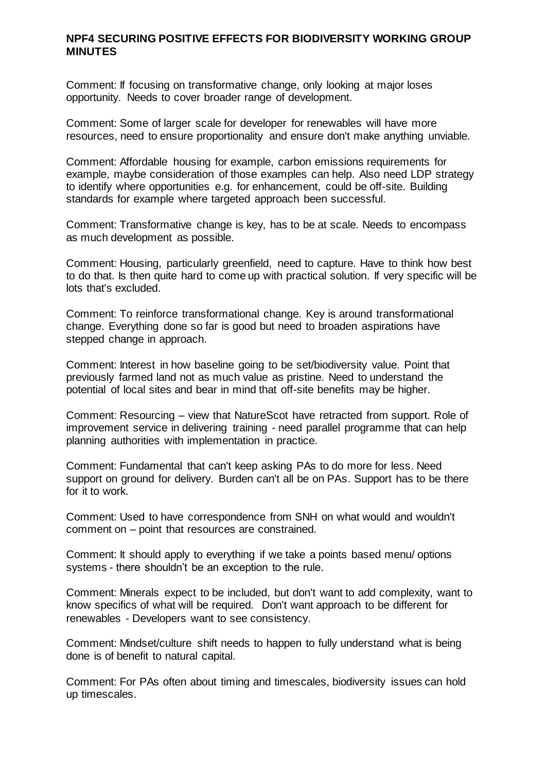Comment: If focusing on transformative change, only looking at major loses opportunity. Needs to cover broader range of development.

Comment: Some of larger scale for developer for renewables will have more resources, need to ensure proportionality and ensure don't make anything unviable.

Comment: Affordable housing for example, carbon emissions requirements for example, maybe consideration of those examples can help. Also need LDP strategy to identify where opportunities e.g. for enhancement, could be off-site. Building standards for example where targeted approach been successful.

Comment: Transformative change is key, has to be at scale. Needs to encompass as much development as possible.

Comment: Housing, particularly greenfield, need to capture. Have to think how best to do that. Is then quite hard to come up with practical solution. If very specific will be lots that's excluded.

Comment: To reinforce transformational change. Key is around transformational change. Everything done so far is good but need to broaden aspirations have stepped change in approach.

Comment: Interest in how baseline going to be set/biodiversity value. Point that previously farmed land not as much value as pristine. Need to understand the potential of local sites and bear in mind that off-site benefits may be higher.

Comment: Resourcing – view that NatureScot have retracted from support. Role of improvement service in delivering training - need parallel programme that can help planning authorities with implementation in practice.

Comment: Fundamental that can't keep asking PAs to do more for less. Need support on ground for delivery. Burden can't all be on PAs. Support has to be there for it to work.

Comment: Used to have correspondence from SNH on what would and wouldn't comment on – point that resources are constrained.

Comment: It should apply to everything if we take a points based menu/ options systems - there shouldn't be an exception to the rule.

Comment: Minerals expect to be included, but don't want to add complexity, want to know specifics of what will be required. Don't want approach to be different for renewables - Developers want to see consistency.

Comment: Mindset/culture shift needs to happen to fully understand what is being done is of benefit to natural capital.

Comment: For PAs often about timing and timescales, biodiversity issues can hold up timescales.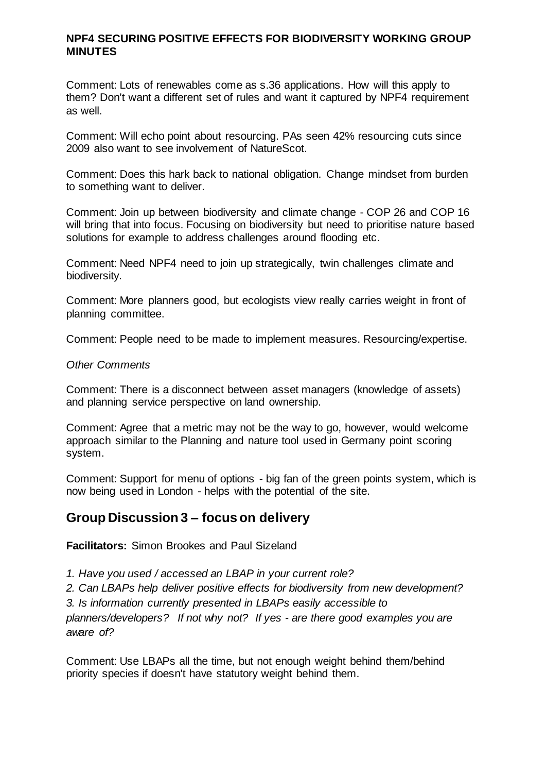Comment: Lots of renewables come as s.36 applications. How will this apply to them? Don't want a different set of rules and want it captured by NPF4 requirement as well.

Comment: Will echo point about resourcing. PAs seen 42% resourcing cuts since 2009 also want to see involvement of NatureScot.

Comment: Does this hark back to national obligation. Change mindset from burden to something want to deliver.

Comment: Join up between biodiversity and climate change - COP 26 and COP 16 will bring that into focus. Focusing on biodiversity but need to prioritise nature based solutions for example to address challenges around flooding etc.

Comment: Need NPF4 need to join up strategically, twin challenges climate and biodiversity.

Comment: More planners good, but ecologists view really carries weight in front of planning committee.

Comment: People need to be made to implement measures. Resourcing/expertise.

#### *Other Comments*

Comment: There is a disconnect between asset managers (knowledge of assets) and planning service perspective on land ownership.

Comment: Agree that a metric may not be the way to go, however, would welcome approach similar to the Planning and nature tool used in Germany point scoring system.

Comment: Support for menu of options - big fan of the green points system, which is now being used in London - helps with the potential of the site.

### **Group Discussion 3 – focus on delivery**

**Facilitators:** Simon Brookes and Paul Sizeland

*1. Have you used / accessed an LBAP in your current role?*

*2. Can LBAPs help deliver positive effects for biodiversity from new development?*

*3. Is information currently presented in LBAPs easily accessible to* 

*planners/developers? If not why not? If yes - are there good examples you are aware of?*

Comment: Use LBAPs all the time, but not enough weight behind them/behind priority species if doesn't have statutory weight behind them.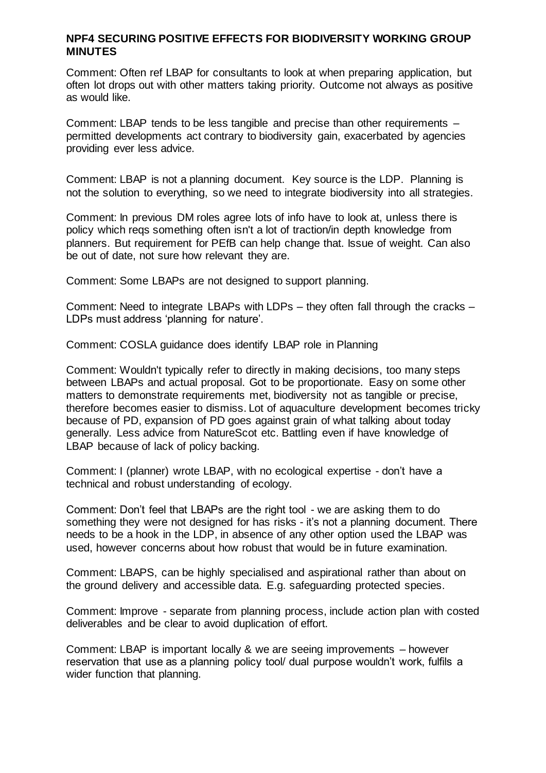Comment: Often ref LBAP for consultants to look at when preparing application, but often lot drops out with other matters taking priority. Outcome not always as positive as would like.

Comment: LBAP tends to be less tangible and precise than other requirements – permitted developments act contrary to biodiversity gain, exacerbated by agencies providing ever less advice.

Comment: LBAP is not a planning document. Key source is the LDP. Planning is not the solution to everything, so we need to integrate biodiversity into all strategies.

Comment: In previous DM roles agree lots of info have to look at, unless there is policy which reqs something often isn't a lot of traction/in depth knowledge from planners. But requirement for PEfB can help change that. Issue of weight. Can also be out of date, not sure how relevant they are.

Comment: Some LBAPs are not designed to support planning.

Comment: Need to integrate LBAPs with LDPs – they often fall through the cracks – LDPs must address 'planning for nature'.

Comment: COSLA guidance does identify LBAP role in Planning

Comment: Wouldn't typically refer to directly in making decisions, too many steps between LBAPs and actual proposal. Got to be proportionate. Easy on some other matters to demonstrate requirements met, biodiversity not as tangible or precise, therefore becomes easier to dismiss. Lot of aquaculture development becomes tricky because of PD, expansion of PD goes against grain of what talking about today generally. Less advice from NatureScot etc. Battling even if have knowledge of LBAP because of lack of policy backing.

Comment: I (planner) wrote LBAP, with no ecological expertise - don't have a technical and robust understanding of ecology.

Comment: Don't feel that LBAPs are the right tool - we are asking them to do something they were not designed for has risks - it's not a planning document. There needs to be a hook in the LDP, in absence of any other option used the LBAP was used, however concerns about how robust that would be in future examination.

Comment: LBAPS, can be highly specialised and aspirational rather than about on the ground delivery and accessible data. E.g. safeguarding protected species.

Comment: Improve - separate from planning process, include action plan with costed deliverables and be clear to avoid duplication of effort.

Comment: LBAP is important locally & we are seeing improvements – however reservation that use as a planning policy tool/ dual purpose wouldn't work, fulfils a wider function that planning.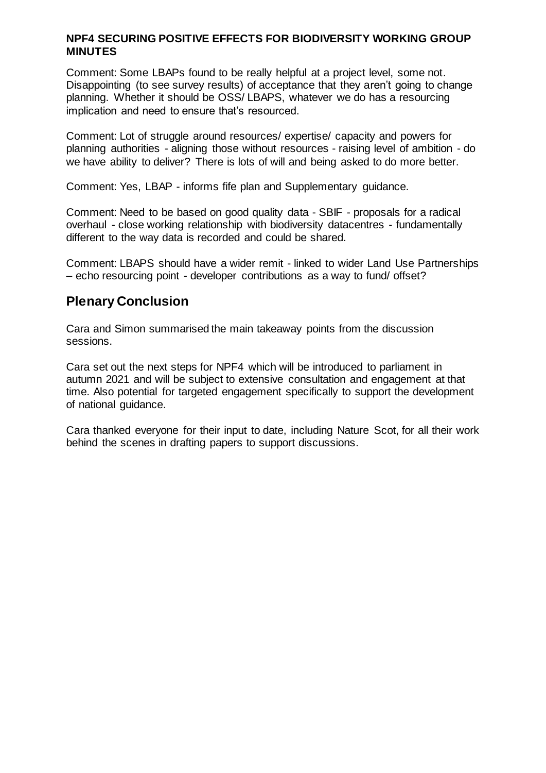Comment: Some LBAPs found to be really helpful at a project level, some not. Disappointing (to see survey results) of acceptance that they aren't going to change planning. Whether it should be OSS/ LBAPS, whatever we do has a resourcing implication and need to ensure that's resourced.

Comment: Lot of struggle around resources/ expertise/ capacity and powers for planning authorities - aligning those without resources - raising level of ambition - do we have ability to deliver? There is lots of will and being asked to do more better.

Comment: Yes, LBAP - informs fife plan and Supplementary guidance.

Comment: Need to be based on good quality data - SBIF - proposals for a radical overhaul - close working relationship with biodiversity datacentres - fundamentally different to the way data is recorded and could be shared.

Comment: LBAPS should have a wider remit - linked to wider Land Use Partnerships – echo resourcing point - developer contributions as a way to fund/ offset?

## **Plenary Conclusion**

Cara and Simon summarised the main takeaway points from the discussion sessions.

Cara set out the next steps for NPF4 which will be introduced to parliament in autumn 2021 and will be subject to extensive consultation and engagement at that time. Also potential for targeted engagement specifically to support the development of national guidance.

Cara thanked everyone for their input to date, including Nature Scot, for all their work behind the scenes in drafting papers to support discussions.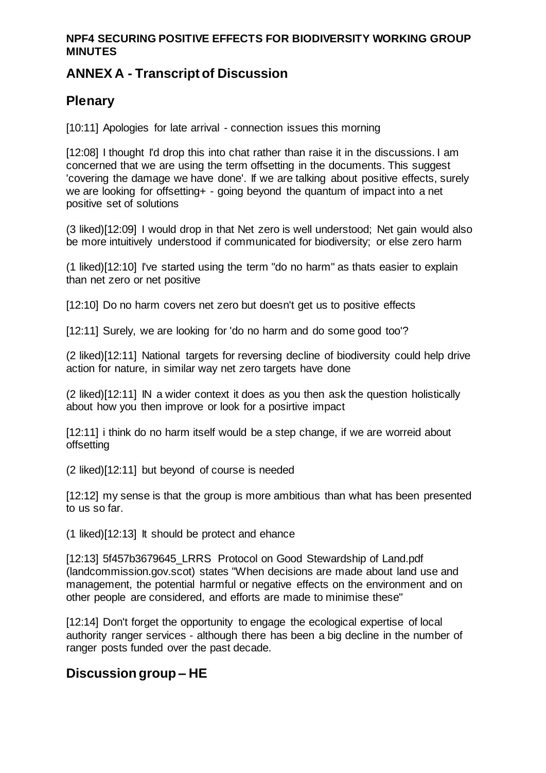# **ANNEX A - Transcript of Discussion**

# **Plenary**

[10:11] Apologies for late arrival - connection issues this morning

[12:08] I thought I'd drop this into chat rather than raise it in the discussions. I am concerned that we are using the term offsetting in the documents. This suggest 'covering the damage we have done'. If we are talking about positive effects, surely we are looking for offsetting+ - going beyond the quantum of impact into a net positive set of solutions

(3 liked)[12:09] I would drop in that Net zero is well understood; Net gain would also be more intuitively understood if communicated for biodiversity; or else zero harm

(1 liked)[12:10] I've started using the term "do no harm" as thats easier to explain than net zero or net positive

[12:10] Do no harm covers net zero but doesn't get us to positive effects

[12:11] Surely, we are looking for 'do no harm and do some good too'?

(2 liked)[12:11] National targets for reversing decline of biodiversity could help drive action for nature, in similar way net zero targets have done

(2 liked)[12:11] IN a wider context it does as you then ask the question holistically about how you then improve or look for a posirtive impact

[12:11] i think do no harm itself would be a step change, if we are worreid about offsetting

(2 liked)[12:11] but beyond of course is needed

[12:12] my sense is that the group is more ambitious than what has been presented to us so far.

(1 liked)[12:13] It should be protect and ehance

[12:13] 5f457b3679645 LRRS Protocol on Good Stewardship of Land.pdf (landcommission.gov.scot) states "When decisions are made about land use and management, the potential harmful or negative effects on the environment and on other people are considered, and efforts are made to minimise these"

[12:14] Don't forget the opportunity to engage the ecological expertise of local authority ranger services - although there has been a big decline in the number of ranger posts funded over the past decade.

## **Discussion group – HE**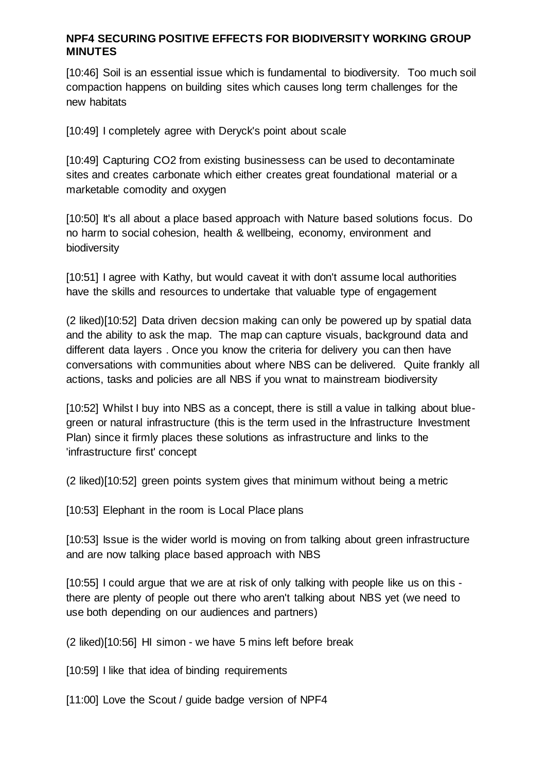[10:46] Soil is an essential issue which is fundamental to biodiversity. Too much soil compaction happens on building sites which causes long term challenges for the new habitats

[10:49] I completely agree with Deryck's point about scale

[10:49] Capturing CO2 from existing businessess can be used to decontaminate sites and creates carbonate which either creates great foundational material or a marketable comodity and oxygen

[10:50] It's all about a place based approach with Nature based solutions focus. Do no harm to social cohesion, health & wellbeing, economy, environment and biodiversity

[10:51] I agree with Kathy, but would caveat it with don't assume local authorities have the skills and resources to undertake that valuable type of engagement

(2 liked)[10:52] Data driven decsion making can only be powered up by spatial data and the ability to ask the map. The map can capture visuals, background data and different data layers . Once you know the criteria for delivery you can then have conversations with communities about where NBS can be delivered. Quite frankly all actions, tasks and policies are all NBS if you wnat to mainstream biodiversity

[10:52] Whilst I buy into NBS as a concept, there is still a value in talking about bluegreen or natural infrastructure (this is the term used in the Infrastructure Investment Plan) since it firmly places these solutions as infrastructure and links to the 'infrastructure first' concept

(2 liked)[10:52] green points system gives that minimum without being a metric

[10:53] Elephant in the room is Local Place plans

[10:53] Issue is the wider world is moving on from talking about green infrastructure and are now talking place based approach with NBS

[10:55] I could argue that we are at risk of only talking with people like us on this there are plenty of people out there who aren't talking about NBS yet (we need to use both depending on our audiences and partners)

(2 liked)[10:56] HI simon - we have 5 mins left before break

[10:59] I like that idea of binding requirements

[11:00] Love the Scout / guide badge version of NPF4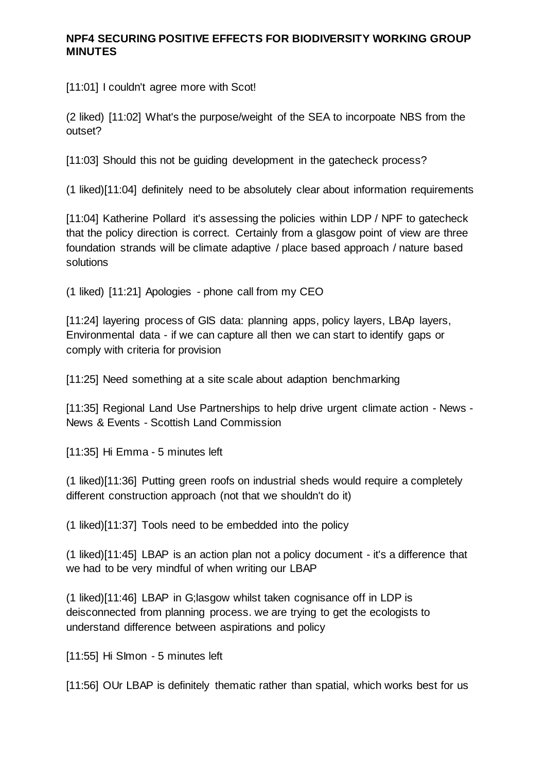[11:01] I couldn't agree more with Scot!

(2 liked) [11:02] What's the purpose/weight of the SEA to incorpoate NBS from the outset?

[11:03] Should this not be quiding development in the gatecheck process?

(1 liked)[11:04] definitely need to be absolutely clear about information requirements

[11:04] Katherine Pollard it's assessing the policies within LDP / NPF to gatecheck that the policy direction is correct. Certainly from a glasgow point of view are three foundation strands will be climate adaptive / place based approach / nature based solutions

(1 liked) [11:21] Apologies - phone call from my CEO

[11:24] layering process of GIS data: planning apps, policy layers, LBAp layers, Environmental data - if we can capture all then we can start to identify gaps or comply with criteria for provision

[11:25] Need something at a site scale about adaption benchmarking

[11:35] Regional Land Use Partnerships to help drive urgent climate action - News - News & Events - Scottish Land Commission

[11:35] Hi Emma - 5 minutes left

(1 liked)[11:36] Putting green roofs on industrial sheds would require a completely different construction approach (not that we shouldn't do it)

(1 liked)[11:37] Tools need to be embedded into the policy

(1 liked)[11:45] LBAP is an action plan not a policy document - it's a difference that we had to be very mindful of when writing our LBAP

(1 liked)[11:46] LBAP in G;lasgow whilst taken cognisance off in LDP is deisconnected from planning process. we are trying to get the ecologists to understand difference between aspirations and policy

[11:55] Hi SImon - 5 minutes left

[11:56] OUr LBAP is definitely thematic rather than spatial, which works best for us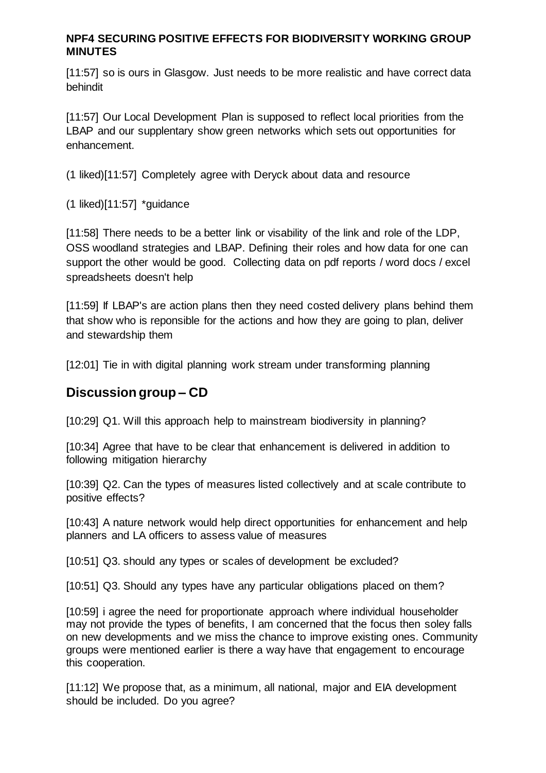[11:57] so is ours in Glasgow. Just needs to be more realistic and have correct data behindit

[11:57] Our Local Development Plan is supposed to reflect local priorities from the LBAP and our supplentary show green networks which sets out opportunities for enhancement.

(1 liked)[11:57] Completely agree with Deryck about data and resource

(1 liked)[11:57] \*guidance

[11:58] There needs to be a better link or visability of the link and role of the LDP, OSS woodland strategies and LBAP. Defining their roles and how data for one can support the other would be good. Collecting data on pdf reports / word docs / excel spreadsheets doesn't help

[11:59] If LBAP's are action plans then they need costed delivery plans behind them that show who is reponsible for the actions and how they are going to plan, deliver and stewardship them

[12:01] Tie in with digital planning work stream under transforming planning

# **Discussion group – CD**

[10:29] Q1. Will this approach help to mainstream biodiversity in planning?

[10:34] Agree that have to be clear that enhancement is delivered in addition to following mitigation hierarchy

[10:39] Q2. Can the types of measures listed collectively and at scale contribute to positive effects?

[10:43] A nature network would help direct opportunities for enhancement and help planners and LA officers to assess value of measures

[10:51] Q3. should any types or scales of development be excluded?

[10:51] Q3. Should any types have any particular obligations placed on them?

[10:59] i agree the need for proportionate approach where individual householder may not provide the types of benefits, I am concerned that the focus then soley falls on new developments and we miss the chance to improve existing ones. Community groups were mentioned earlier is there a way have that engagement to encourage this cooperation.

[11:12] We propose that, as a minimum, all national, major and EIA development should be included. Do you agree?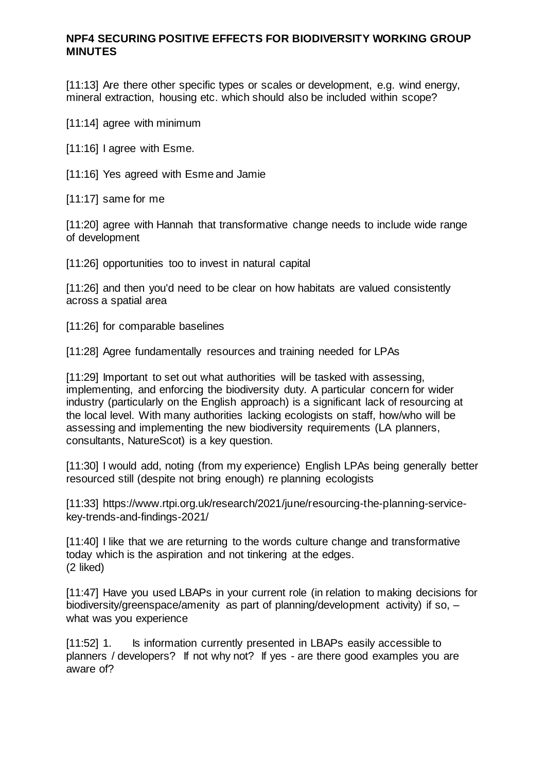[11:13] Are there other specific types or scales or development, e.g. wind energy, mineral extraction, housing etc. which should also be included within scope?

[11:14] agree with minimum

[11:16] I agree with Esme.

[11:16] Yes agreed with Esme and Jamie

[11:17] same for me

[11:20] agree with Hannah that transformative change needs to include wide range of development

[11:26] opportunities too to invest in natural capital

[11:26] and then you'd need to be clear on how habitats are valued consistently across a spatial area

[11:26] for comparable baselines

[11:28] Agree fundamentally resources and training needed for LPAs

[11:29] Important to set out what authorities will be tasked with assessing, implementing, and enforcing the biodiversity duty. A particular concern for wider industry (particularly on the English approach) is a significant lack of resourcing at the local level. With many authorities lacking ecologists on staff, how/who will be assessing and implementing the new biodiversity requirements (LA planners, consultants, NatureScot) is a key question.

[11:30] I would add, noting (from my experience) English LPAs being generally better resourced still (despite not bring enough) re planning ecologists

[11:33] https://www.rtpi.org.uk/research/2021/june/resourcing-the-planning-servicekey-trends-and-findings-2021/

[11:40] I like that we are returning to the words culture change and transformative today which is the aspiration and not tinkering at the edges. (2 liked)

[11:47] Have you used LBAPs in your current role (in relation to making decisions for biodiversity/greenspace/amenity as part of planning/development activity) if so, – what was you experience

[11:52] 1. Is information currently presented in LBAPs easily accessible to planners / developers? If not why not? If yes - are there good examples you are aware of?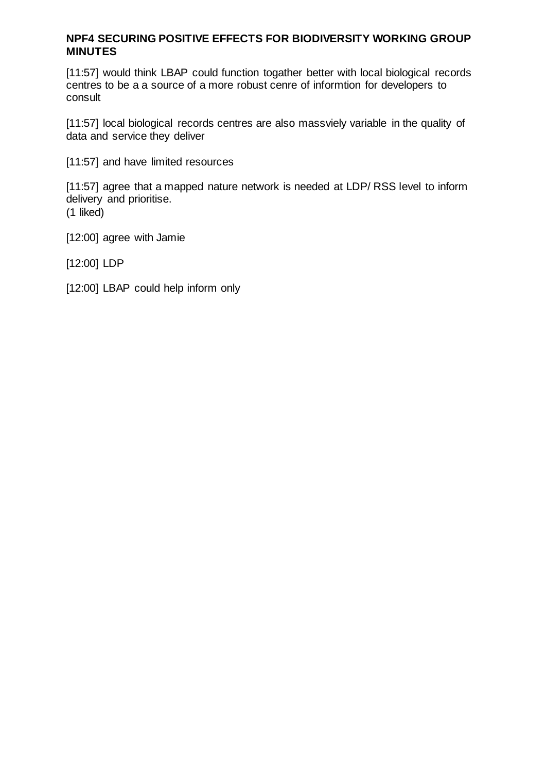[11:57] would think LBAP could function togather better with local biological records centres to be a a source of a more robust cenre of informtion for developers to consult

[11:57] local biological records centres are also massviely variable in the quality of data and service they deliver

[11:57] and have limited resources

[11:57] agree that a mapped nature network is needed at LDP/ RSS level to inform delivery and prioritise. (1 liked)

[12:00] agree with Jamie

[12:00] LDP

[12:00] LBAP could help inform only